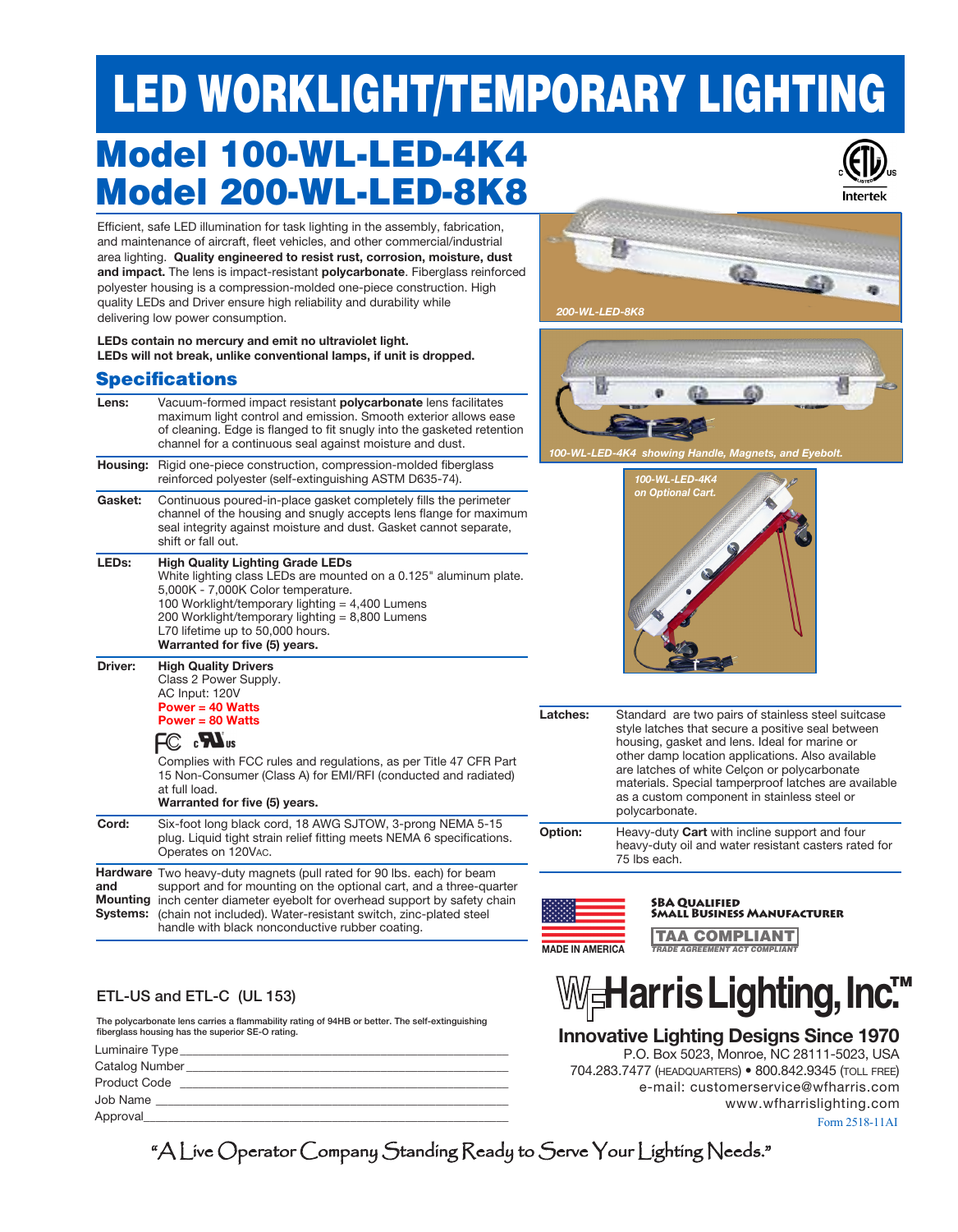# LED WORKLIGHT/TEMPORARY LIGHTING

# Model 100-WL-LED-4K4 Model 200-WL-LED-8K8



Efficient, safe LED illumination for task lighting in the assembly, fabrication, and maintenance of aircraft, fleet vehicles, and other commercial/industrial area lighting. **Quality engineered to resist rust, corrosion, moisture, dust and impact.** The lens is impact-resistant **polycarbonate**. Fiberglass reinforced polyester housing is a compression-molded one-piece construction. High quality LEDs and Driver ensure high reliability and durability while delivering low power consumption.

**LEDs contain no mercury and emit no ultraviolet light. LEDs will not break, unlike conventional lamps, if unit is dropped.**

### **Chanifications**

| Jpcvinvativiis    |                                                                                                                                                                                                                                                                                                                                                         |  |
|-------------------|---------------------------------------------------------------------------------------------------------------------------------------------------------------------------------------------------------------------------------------------------------------------------------------------------------------------------------------------------------|--|
| Lens:             | Vacuum-formed impact resistant <b>polycarbonate</b> lens facilitates<br>maximum light control and emission. Smooth exterior allows ease<br>of cleaning. Edge is flanged to fit snugly into the gasketed retention<br>channel for a continuous seal against moisture and dust.                                                                           |  |
| Housing:          | Rigid one-piece construction, compression-molded fiberglass<br>reinforced polyester (self-extinguishing ASTM D635-74).                                                                                                                                                                                                                                  |  |
| Gasket:           | Continuous poured-in-place gasket completely fills the perimeter<br>channel of the housing and snugly accepts lens flange for maximum<br>seal integrity against moisture and dust. Gasket cannot separate,<br>shift or fall out.                                                                                                                        |  |
| LED <sub>s:</sub> | <b>High Quality Lighting Grade LEDs</b><br>White lighting class LEDs are mounted on a 0.125" aluminum plate.<br>5,000K - 7,000K Color temperature.<br>100 Worklight/temporary lighting $=$ 4,400 Lumens<br>200 Worklight/temporary lighting = 8,800 Lumens<br>L70 lifetime up to 50,000 hours.<br>Warranted for five (5) years.                         |  |
| <b>Driver:</b>    | <b>High Quality Drivers</b><br>Class 2 Power Supply.<br>AC Input: 120V<br>Power = $40$ Watts<br>Power = $80$ Watts<br>$\mathbb{C}$ of $\mathbf{M}_\mathrm{us}$<br>Complies with FCC rules and regulations, as per Title 47 CFR Part<br>15 Non-Consumer (Class A) for EMI/RFI (conducted and radiated)<br>at full load.<br>Warranted for five (5) years. |  |
| Cord:             | Six-foot long black cord, 18 AWG SJTOW, 3-prong NEMA 5-15<br>plug. Liquid tight strain relief fitting meets NEMA 6 specifications.<br>Operates on 120VAC.                                                                                                                                                                                               |  |
| and<br>Systems:   | Hardware Two heavy-duty magnets (pull rated for 90 lbs. each) for beam<br>support and for mounting on the optional cart, and a three-quarter<br><b>Mounting</b> inch center diameter eyebolt for overhead support by safety chain<br>(chain not included). Water-resistant switch, zinc-plated steel<br>handle with black nonconductive rubber coating. |  |
|                   |                                                                                                                                                                                                                                                                                                                                                         |  |

#### ETL-US and ETL-C (UL 153)

The polycarbonate lens carries a flammability rating of 94HB or better. The self-extinguishing fiberglass housing has the superior SE-O rating.

| Luminaire Type_     |  |
|---------------------|--|
| Catalog Number      |  |
| <b>Product Code</b> |  |
| Job Name            |  |
| Approval            |  |





*100-WL-LED-4K4 showing Handle, Magnets, and Eyebolt.*



**Latches:** Standard are two pairs of stainless steel suitcase style latches that secure a positive seal between housing, gasket and lens. Ideal for marine or other damp location applications. Also available are latches of white Celçon or polycarbonate materials. Special tamperproof latches are available as a custom component in stainless steel or polycarbonate.

**Option:** Heavy-duty **Cart** with incline support and four heavy-duty oil and water resistant casters rated for 75 lbs each.



SBA Qualified Small Business Manufacturer

TAA COMPLIANT **TRADE AGREEMENT ACT COMPLIAN** 



### **Innovative Lighting Designs Since 1970**

Form 2518-11AI P.O. Box 5023, Monroe, NC 28111-5023, USA 704.283.7477 (headquarters) • 800.842.9345 (toll free) e-mail: customerservice@wfharris.com www.wfharrislighting.com

"A Live Operator Company Standing Ready to Serve Your Lighting Needs."